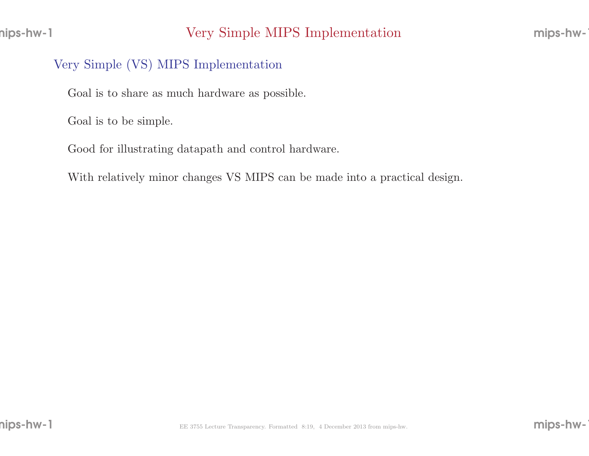#### Very Simple (VS) MIPS Implementation

Goal is to share as much hardware as possible.

Goal is to be simple.

Good for illustrating datapath and control hardware.

With relatively minor changes VS MIPS can be made into <sup>a</sup> practical design.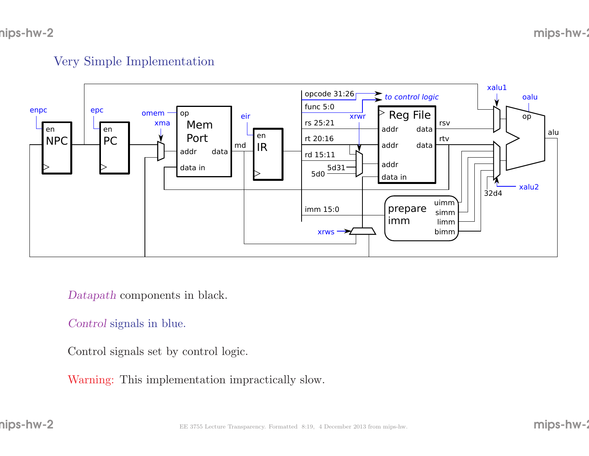#### mips-hw-2

#### Very Simple Implementation



Datapath components in black.

#### Control signals in blue.

Control signals set by control logic.

Warning: This implementation impractically slow.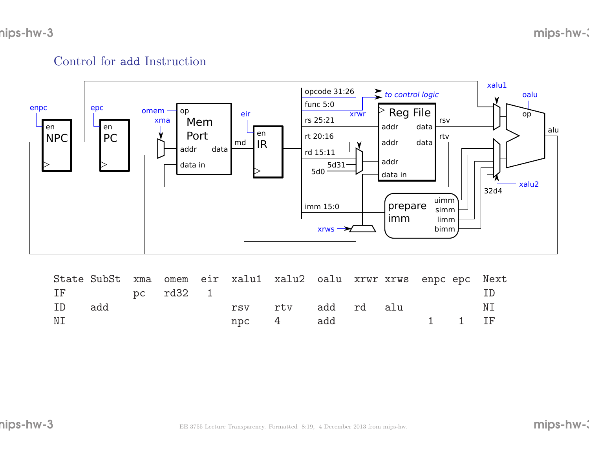## Control for add Instruction



|    |              |  |  | State SubSt xma omem eir xalu1 xalu2 oalu xrwr xrws enpc epc Next |  |  |               |
|----|--------------|--|--|-------------------------------------------------------------------|--|--|---------------|
|    | IF pc rd32 1 |  |  |                                                                   |  |  | $\vert \vert$ |
| ID | add          |  |  | rsv rtv add rd alu                                                |  |  | ΝI            |
| ΝI |              |  |  | npc 4 add 1 1 IF                                                  |  |  |               |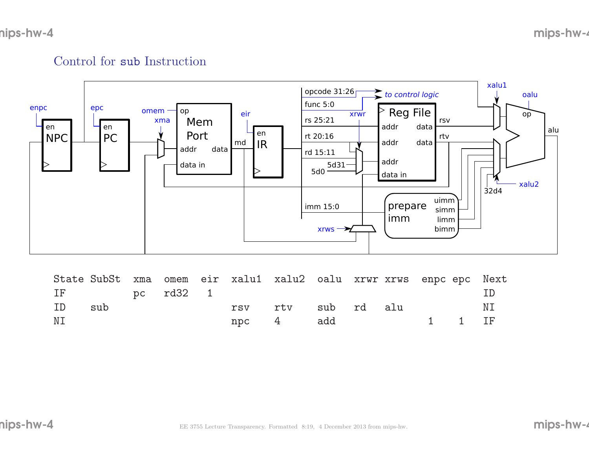# Control for sub Instruction



|    |              |  |  | State SubSt xma omem eir xalu1 xalu2 oalu xrwr xrws enpc epc Next |  |  |               |
|----|--------------|--|--|-------------------------------------------------------------------|--|--|---------------|
|    | IF pc rd32 1 |  |  |                                                                   |  |  | $\vert \vert$ |
| ID | sub          |  |  | rsv rtv sub rd alu                                                |  |  | ΝI            |
| ΝI |              |  |  | npc 4 add 1 1 IF                                                  |  |  |               |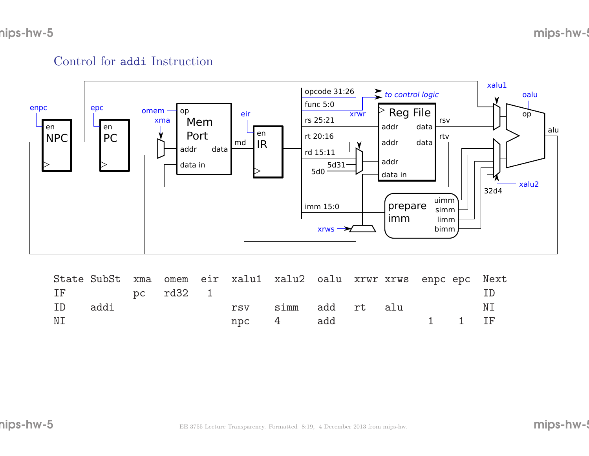# Control for addi Instruction



|    |              |  |  | State SubSt xma omem eir xalu1 xalu2 oalu xrwr xrws enpc epc Next |  |  |               |
|----|--------------|--|--|-------------------------------------------------------------------|--|--|---------------|
|    | IF pc rd32 1 |  |  |                                                                   |  |  | $\vert \vert$ |
| ID | addi         |  |  | rsv simm add rt alu                                               |  |  | ΝI            |
| ΝI |              |  |  | npc 4 add 1 1 IF                                                  |  |  |               |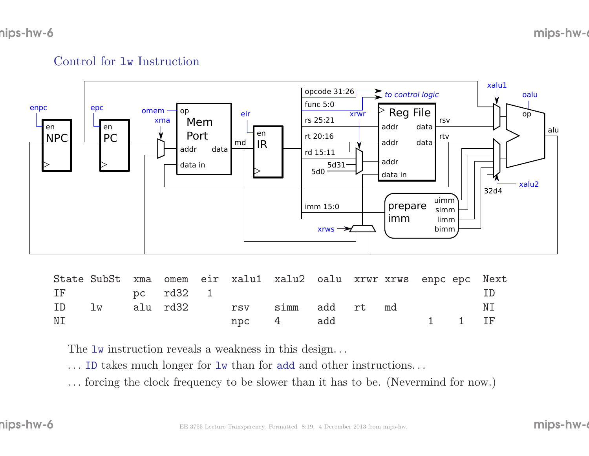# Control for lw Instruction



|    |              |  |  | State SubSt xma omem eir xalu1 xalu2 oalu xrwr xrws enpc epc Next |  |               |     |
|----|--------------|--|--|-------------------------------------------------------------------|--|---------------|-----|
|    | IF pc rd32 1 |  |  |                                                                   |  |               | TD. |
|    |              |  |  | ID lw alu rd32 rsv simm add rt md                                 |  |               | NI  |
| NΙ |              |  |  | npc 4 add                                                         |  | <b>1</b> 1 IF |     |

The lw instruction reveals a weakness in this design...

. . . ID takes much longer for lw than for add and other instructions. . .

. . . forcing the clock frequency to be slower than it has to be. (Nevermind for now.)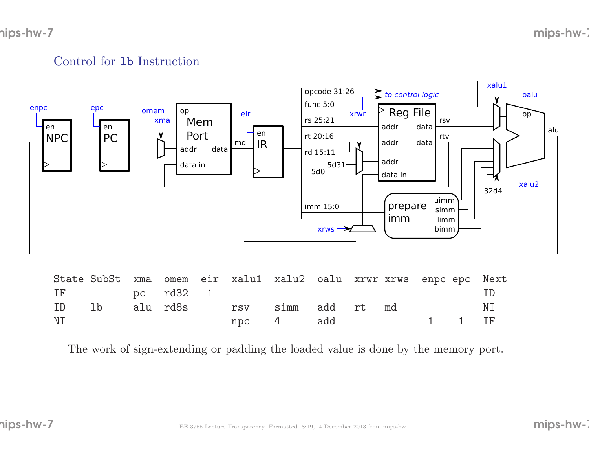## Control for lb Instruction



| IF | pc rd32 1 |  |  |                                              |  |                                                                           |     |
|----|-----------|--|--|----------------------------------------------|--|---------------------------------------------------------------------------|-----|
|    |           |  |  | ID lb alu <sup>rd8s</sup> rsv simm add rt md |  |                                                                           | N I |
| ΝI |           |  |  | npc 4 add                                    |  | $\begin{array}{cccccccccccccc} & & & & 1 & & 1 & & \text{IF} \end{array}$ |     |

The work of sign-extending or padding the loaded value is done by the memory port.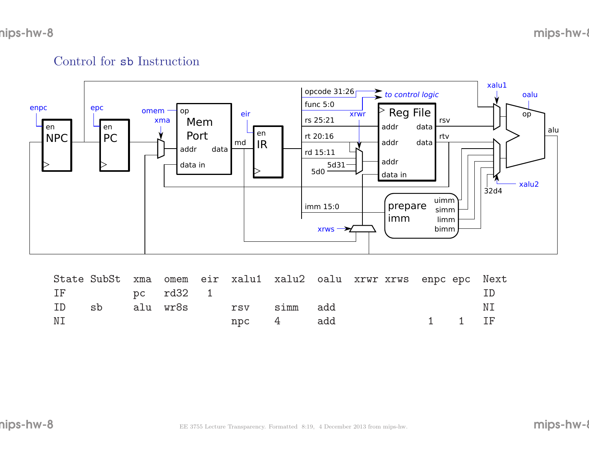## Control for sb Instruction



|    |              |  |  |                                  | State SubSt xma omem eir xalu1 xalu2 oalu xrwr xrws enpc epc Next |        |        |
|----|--------------|--|--|----------------------------------|-------------------------------------------------------------------|--------|--------|
|    | IF pc rd32 1 |  |  |                                  |                                                                   |        | $\Box$ |
| ID | sb           |  |  | alu wr8s      rsv     simm   add |                                                                   |        | ΝI     |
| ΝI |              |  |  | npc 4 add                        |                                                                   | 1 1 IF |        |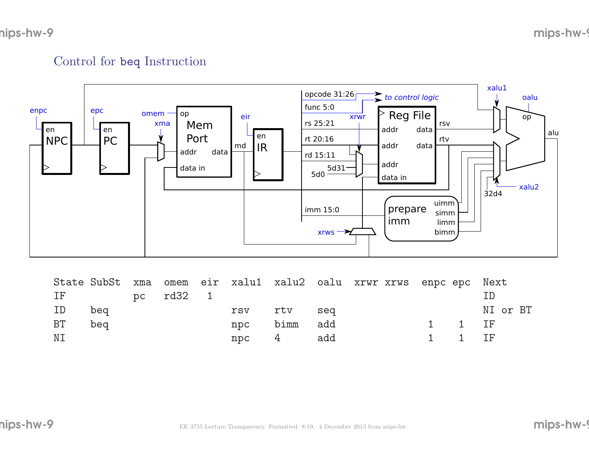# Control for beq Instruction



|    |              |  | State SubSt xma omem eir xalu1 xalu2 oalu xrwr xrws enpc epc Next |              |  |  |                             |          |  |
|----|--------------|--|-------------------------------------------------------------------|--------------|--|--|-----------------------------|----------|--|
|    | IF pc rd32 1 |  |                                                                   |              |  |  |                             |          |  |
| ID | beg          |  | rsv rtv seq                                                       |              |  |  |                             | NI or BT |  |
| BT | beg          |  |                                                                   | npc bimm add |  |  | $1 \quad 1 \quad \text{IF}$ |          |  |
| ΝI |              |  |                                                                   | npc 4 add    |  |  | $1 \quad 1 \quad \text{IF}$ |          |  |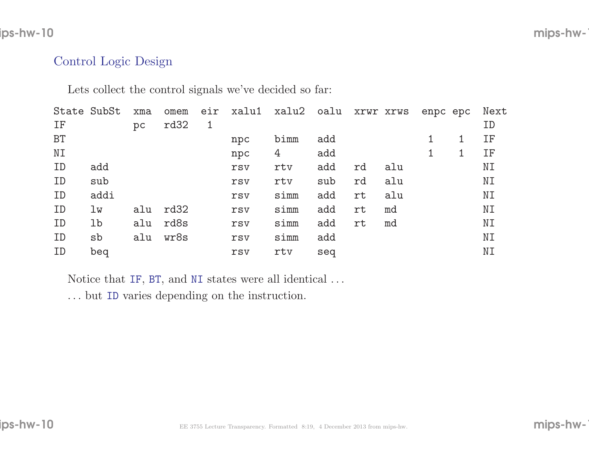#### ips-hw-10

### $\blacksquare$  mips-hw-100 mips-hw-100 mips-hw-100 mips-hw-100 mips-hw-100 mips-hw-100 mips-hw-100 mips-hw-100 mips-hw-100 mips-hw-100 mips-hw-100 mips-hw-100 mips-hw-100 mips-hw-100 mips-hw-100 mips-hw-100 mips-hw-100 mips-hw-10

#### Control Logic Design

Lets collect the control signals we've decided so far:

|           | State SubSt | xma | omem | eir          | xalu1 | xalu2 oalu |     | XYWY XYWS |     | enpc epc |   | Next |
|-----------|-------------|-----|------|--------------|-------|------------|-----|-----------|-----|----------|---|------|
| IF        |             | pc  | rd32 | $\mathbf{1}$ |       |            |     |           |     |          |   | ID   |
| <b>BT</b> |             |     |      |              | npc   | bimm       | add |           |     |          | 1 | IF   |
| ΝI        |             |     |      |              | npc   | 4          | add |           |     |          | 1 | IF   |
| ID        | add         |     |      |              | rsv   | rtv        | add | rd        | alu |          |   | NΙ   |
| ID        | sub         |     |      |              | rsv   | rtv        | sub | rd        | alu |          |   | NΙ   |
| ID        | addi        |     |      |              | rsv   | simm       | add | rt        | alu |          |   | ΝI   |
| ID        | lw          | alu | rd32 |              | rsv   | simm       | add | rt        | md  |          |   | NI   |
| ID        | lb          | alu | rd8s |              | rsv   | simm       | add | rt        | md  |          |   | NΙ   |
| ID        | sb          | alu | wr8s |              | rsv   | simm       | add |           |     |          |   | ΝI   |
| ID        | beq         |     |      |              | rsv   | rtv        | seq |           |     |          |   | NΙ   |
|           |             |     |      |              |       |            |     |           |     |          |   |      |

Notice that IF, BT, and NI states were all identical  $\dots$ 

. . . but ID varies depending on the instruction.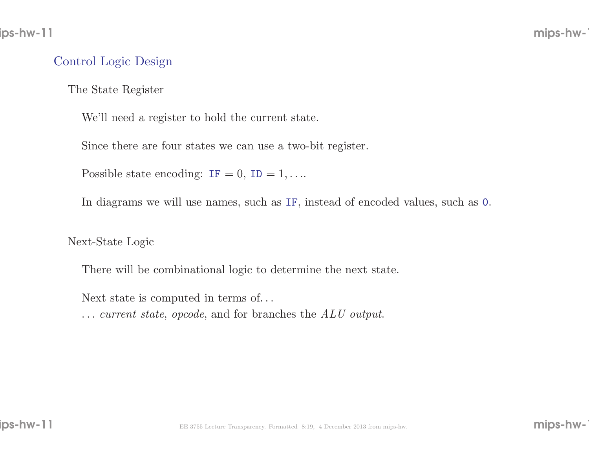#### Control Logic Design

The State Register

We'll need <sup>a</sup> register to hold the current state.

Since there are four states we can use <sup>a</sup> two-bit register.

Possible state encoding:  $IF = 0$ ,  $ID = 1, \ldots$ 

In diagrams we will use names, such as IF, instead of encoded values, such as <sup>0</sup>.

Next-State Logic

There will be combinational logic to determine the next state.

Next state is computed in terms of. . .

... current state, opcode, and for branches the ALU output.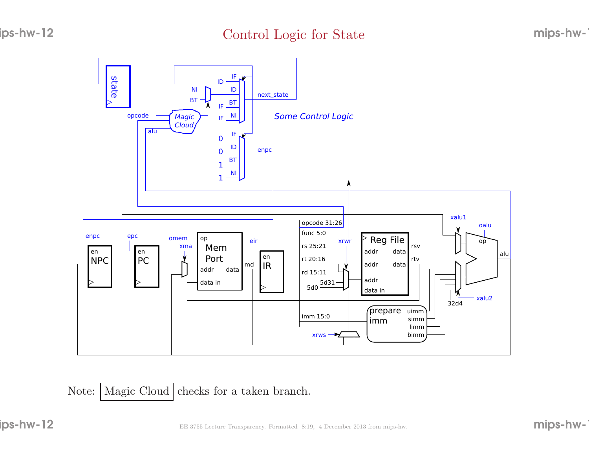### Control Logic for State



Note:: Magic Cloud checks for a taken branch.

ips-hw-12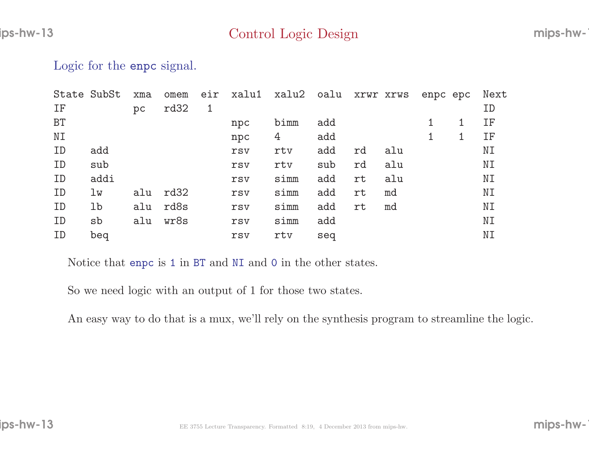Logic for the **enpc** signal.

|           | State SubSt | xma | omem | eir          | xalu1 | xalu2 | oalu | XYWY XYWS |     | enpc epc | Next |
|-----------|-------------|-----|------|--------------|-------|-------|------|-----------|-----|----------|------|
| IF        |             | pc  | rd32 | $\mathbf{1}$ |       |       |      |           |     |          | ID   |
| <b>BT</b> |             |     |      |              | npc   | bimm  | add  |           |     |          | IF   |
| NI        |             |     |      |              | npc   | 4     | add  |           |     |          | IF   |
| ID        | add         |     |      |              | rsv   | rtv   | add  | rd        | alu |          | NΙ   |
| ID        | sub         |     |      |              | rsv   | rtv   | sub  | rd        | alu |          | NI   |
| ID        | addi        |     |      |              | rsv   | simm  | add  | rt        | alu |          | NI   |
| ID        | lw          | alu | rd32 |              | rsv   | simm  | add  | rt        | md  |          | NI   |
| ID        | lb          | alu | rd8s |              | rsv   | simm  | add  | rt        | md  |          | NΙ   |
| ID        | sb          | alu | wr8s |              | rsv   | simm  | add  |           |     |          | NI   |
| ID        | beq         |     |      |              | rsv   | rtv   | seq  |           |     |          | NΙ   |

Notice that enpc is <sup>1</sup> in BT and NI and <sup>0</sup> in the other states.

So we need logic with an output of <sup>1</sup> for those two states.

An easy way to do that is <sup>a</sup> mux, we'll rely on the synthesis program to streamline the logic.